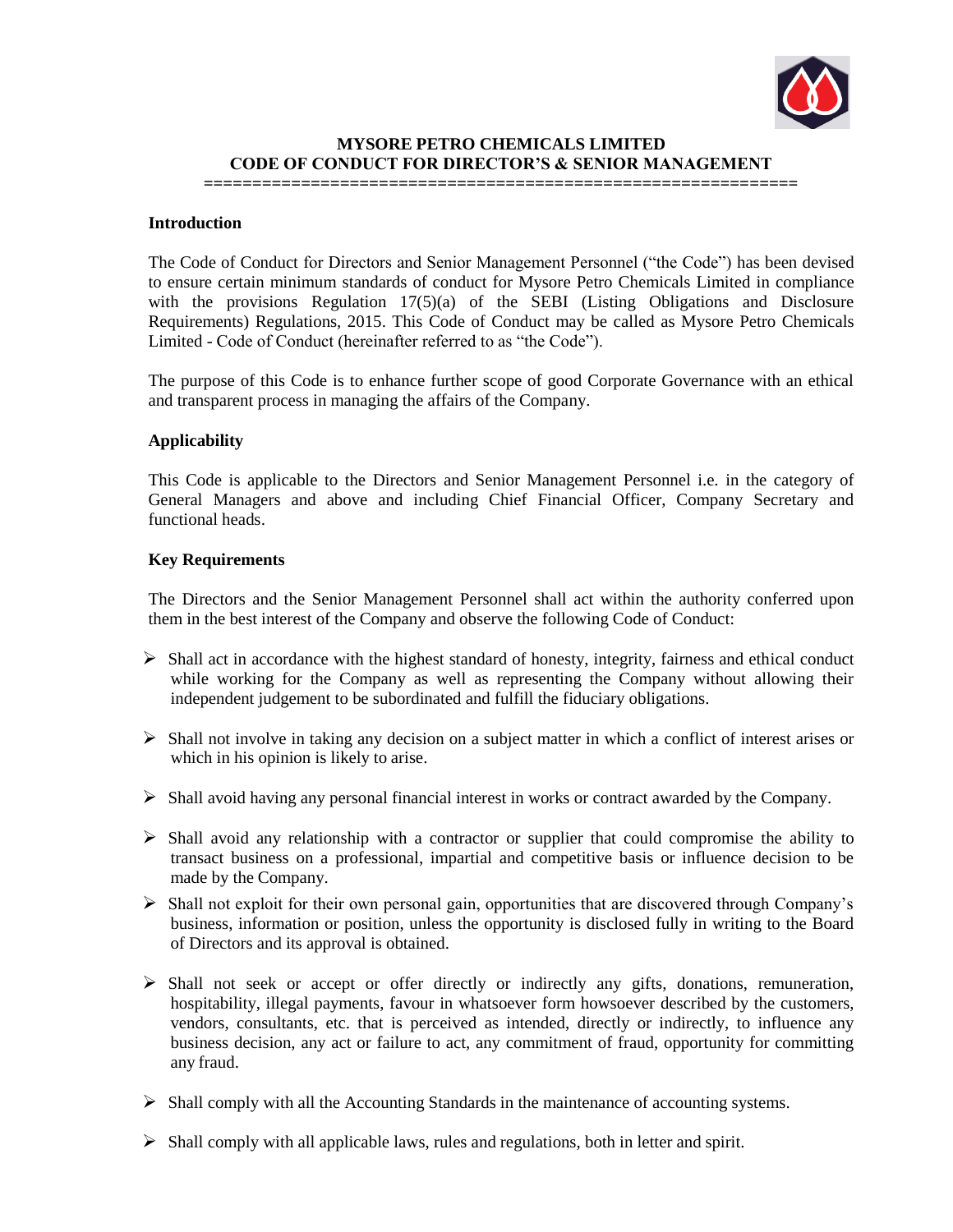

## **MYSORE PETRO CHEMICALS LIMITED CODE OF CONDUCT FOR DIRECTOR'S & SENIOR MANAGEMENT**

# **=============================================================**

### **Introduction**

The Code of Conduct for Directors and Senior Management Personnel ("the Code") has been devised to ensure certain minimum standards of conduct for Mysore Petro Chemicals Limited in compliance with the provisions Regulation 17(5)(a) of the SEBI (Listing Obligations and Disclosure Requirements) Regulations, 2015. This Code of Conduct may be called as Mysore Petro Chemicals Limited - Code of Conduct (hereinafter referred to as "the Code").

The purpose of this Code is to enhance further scope of good Corporate Governance with an ethical and transparent process in managing the affairs of the Company.

#### **Applicability**

This Code is applicable to the Directors and Senior Management Personnel i.e. in the category of General Managers and above and including Chief Financial Officer, Company Secretary and functional heads.

#### **Key Requirements**

The Directors and the Senior Management Personnel shall act within the authority conferred upon them in the best interest of the Company and observe the following Code of Conduct:

- $\triangleright$  Shall act in accordance with the highest standard of honesty, integrity, fairness and ethical conduct while working for the Company as well as representing the Company without allowing their independent judgement to be subordinated and fulfill the fiduciary obligations.
- $\triangleright$  Shall not involve in taking any decision on a subject matter in which a conflict of interest arises or which in his opinion is likely to arise.
- $\triangleright$  Shall avoid having any personal financial interest in works or contract awarded by the Company.
- $\triangleright$  Shall avoid any relationship with a contractor or supplier that could compromise the ability to transact business on a professional, impartial and competitive basis or influence decision to be made by the Company.
- $\triangleright$  Shall not exploit for their own personal gain, opportunities that are discovered through Company's business, information or position, unless the opportunity is disclosed fully in writing to the Board of Directors and its approval is obtained.
- $\triangleright$  Shall not seek or accept or offer directly or indirectly any gifts, donations, remuneration, hospitability, illegal payments, favour in whatsoever form howsoever described by the customers, vendors, consultants, etc. that is perceived as intended, directly or indirectly, to influence any business decision, any act or failure to act, any commitment of fraud, opportunity for committing any fraud.
- $\triangleright$  Shall comply with all the Accounting Standards in the maintenance of accounting systems.
- $\triangleright$  Shall comply with all applicable laws, rules and regulations, both in letter and spirit.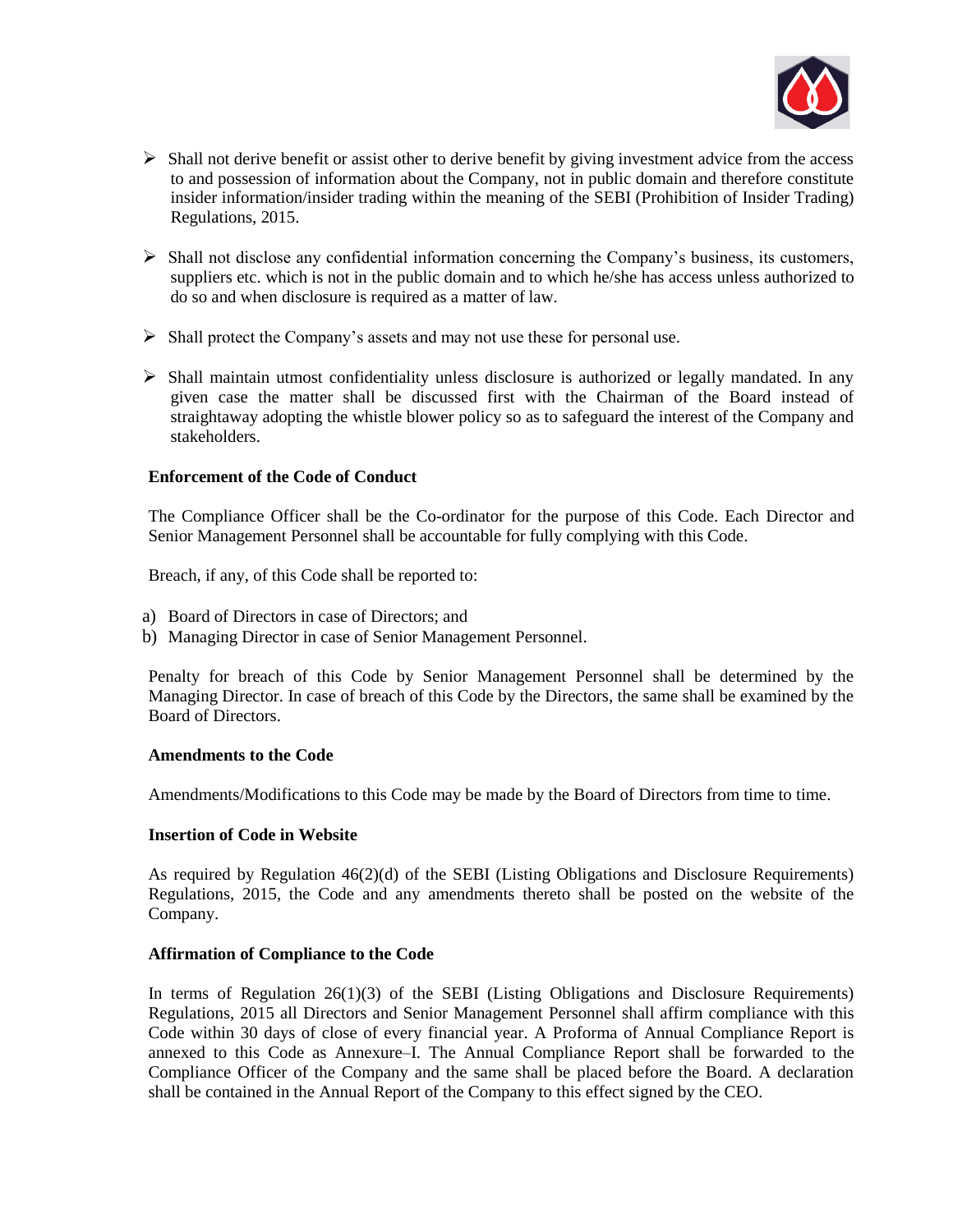

- $\triangleright$  Shall not derive benefit or assist other to derive benefit by giving investment advice from the access to and possession of information about the Company, not in public domain and therefore constitute insider information/insider trading within the meaning of the SEBI (Prohibition of Insider Trading) Regulations, 2015.
- $\triangleright$  Shall not disclose any confidential information concerning the Company's business, its customers, suppliers etc. which is not in the public domain and to which he/she has access unless authorized to do so and when disclosure is required as a matter of law.
- $\triangleright$  Shall protect the Company's assets and may not use these for personal use.
- $\triangleright$  Shall maintain utmost confidentiality unless disclosure is authorized or legally mandated. In any given case the matter shall be discussed first with the Chairman of the Board instead of straightaway adopting the whistle blower policy so as to safeguard the interest of the Company and stakeholders.

#### **Enforcement of the Code of Conduct**

The Compliance Officer shall be the Co-ordinator for the purpose of this Code. Each Director and Senior Management Personnel shall be accountable for fully complying with this Code.

Breach, if any, of this Code shall be reported to:

- a) Board of Directors in case of Directors; and
- b) Managing Director in case of Senior Management Personnel.

Penalty for breach of this Code by Senior Management Personnel shall be determined by the Managing Director. In case of breach of this Code by the Directors, the same shall be examined by the Board of Directors.

#### **Amendments to the Code**

Amendments/Modifications to this Code may be made by the Board of Directors from time to time.

## **Insertion of Code in Website**

As required by Regulation 46(2)(d) of the SEBI (Listing Obligations and Disclosure Requirements) Regulations, 2015, the Code and any amendments thereto shall be posted on the website of the Company.

## **Affirmation of Compliance to the Code**

In terms of Regulation 26(1)(3) of the SEBI (Listing Obligations and Disclosure Requirements) Regulations, 2015 all Directors and Senior Management Personnel shall affirm compliance with this Code within 30 days of close of every financial year. A Proforma of Annual Compliance Report is annexed to this Code as Annexure–I. The Annual Compliance Report shall be forwarded to the Compliance Officer of the Company and the same shall be placed before the Board. A declaration shall be contained in the Annual Report of the Company to this effect signed by the CEO.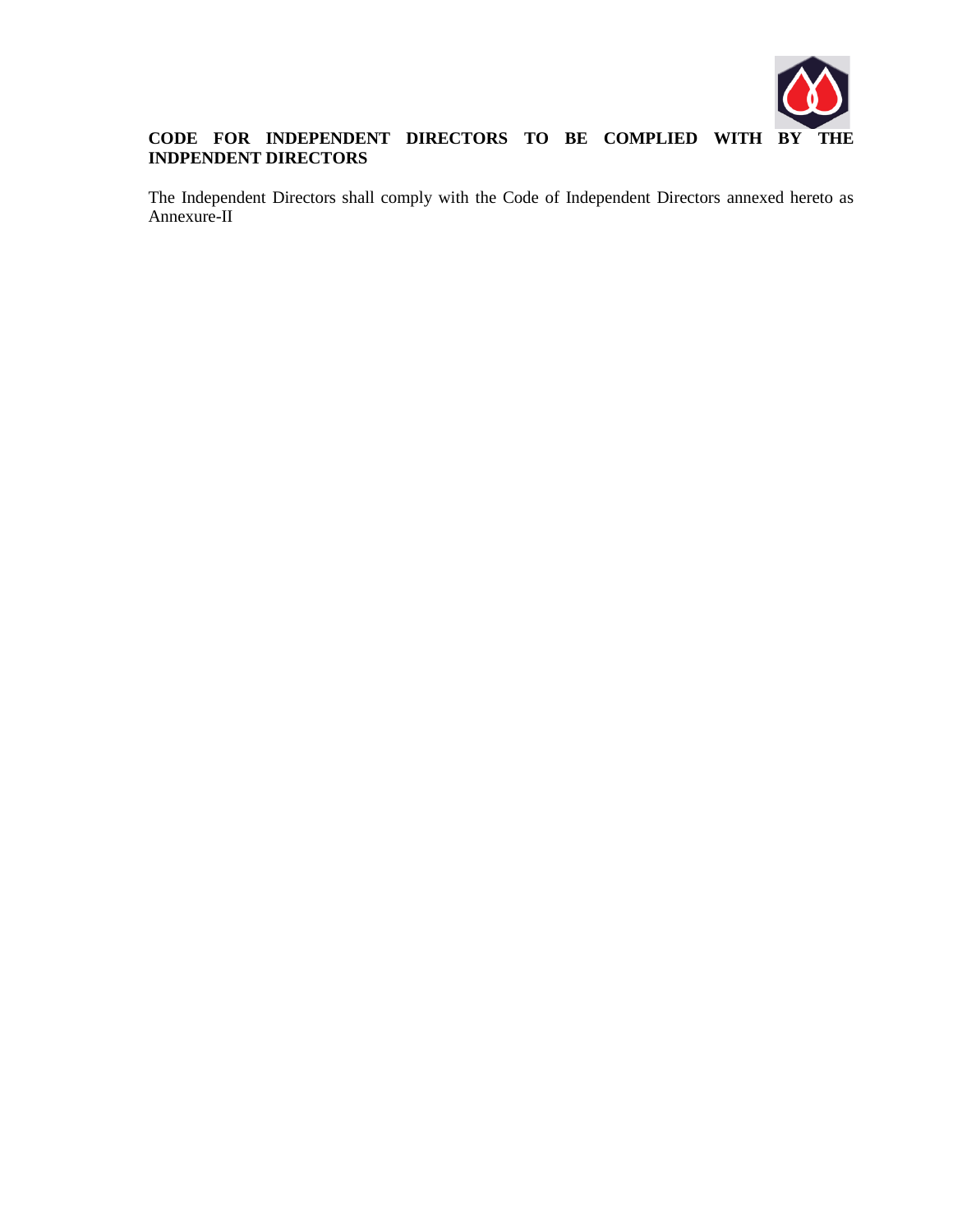

# **CODE FOR INDEPENDENT DIRECTORS TO BE COMPLIED WITH BY THE INDPENDENT DIRECTORS**

The Independent Directors shall comply with the Code of Independent Directors annexed hereto as Annexure-II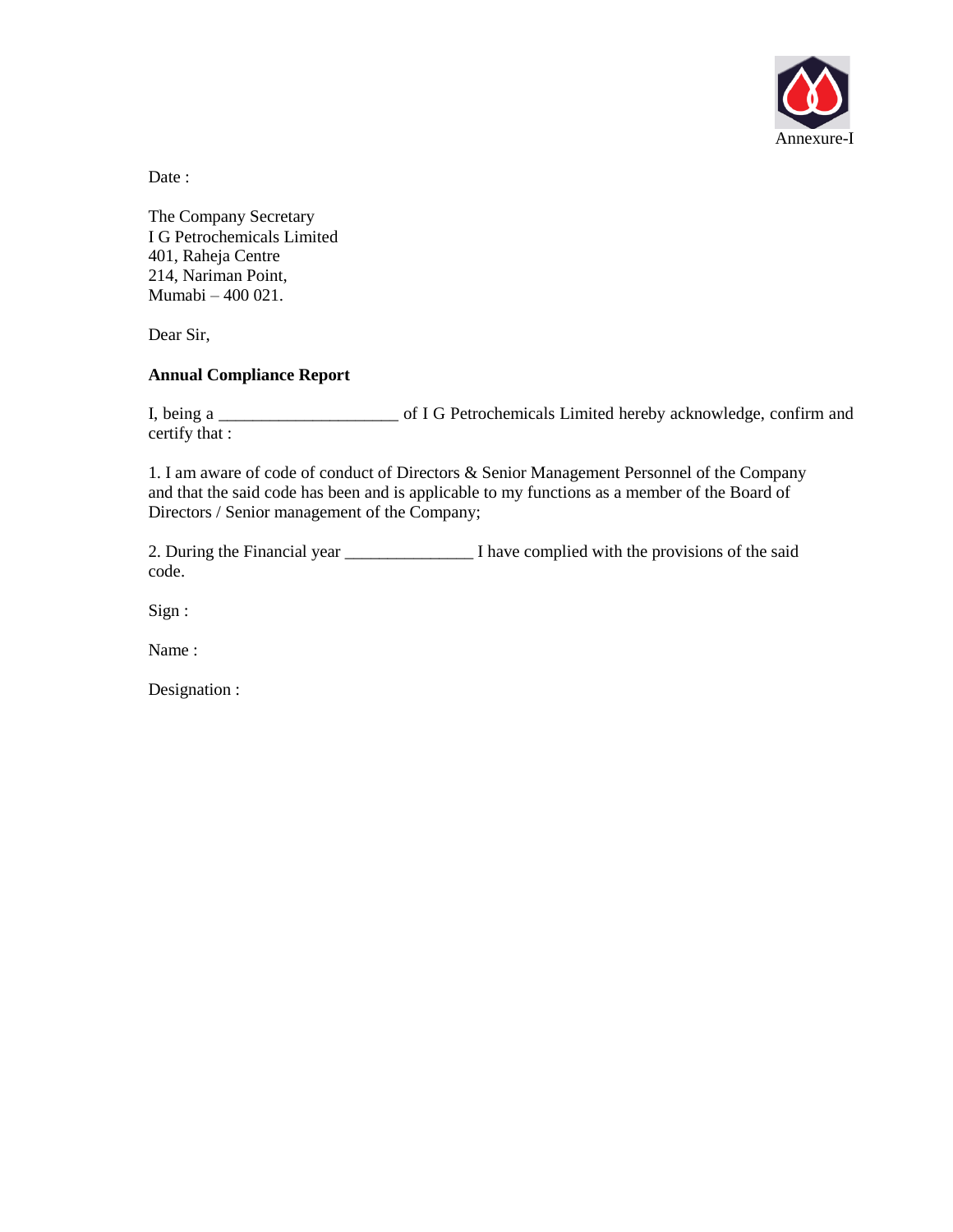

Date:

The Company Secretary I G Petrochemicals Limited 401, Raheja Centre 214, Nariman Point, Mumabi – 400 021.

Dear Sir,

## **Annual Compliance Report**

I, being a \_\_\_\_\_\_\_\_\_\_\_\_\_\_\_\_\_\_\_\_\_ of I G Petrochemicals Limited hereby acknowledge, confirm and certify that :

1. I am aware of code of conduct of Directors & Senior Management Personnel of the Company and that the said code has been and is applicable to my functions as a member of the Board of Directors / Senior management of the Company;

2. During the Financial year \_\_\_\_\_\_\_\_\_\_\_\_\_\_\_ I have complied with the provisions of the said code.

Sign :

Name :

Designation :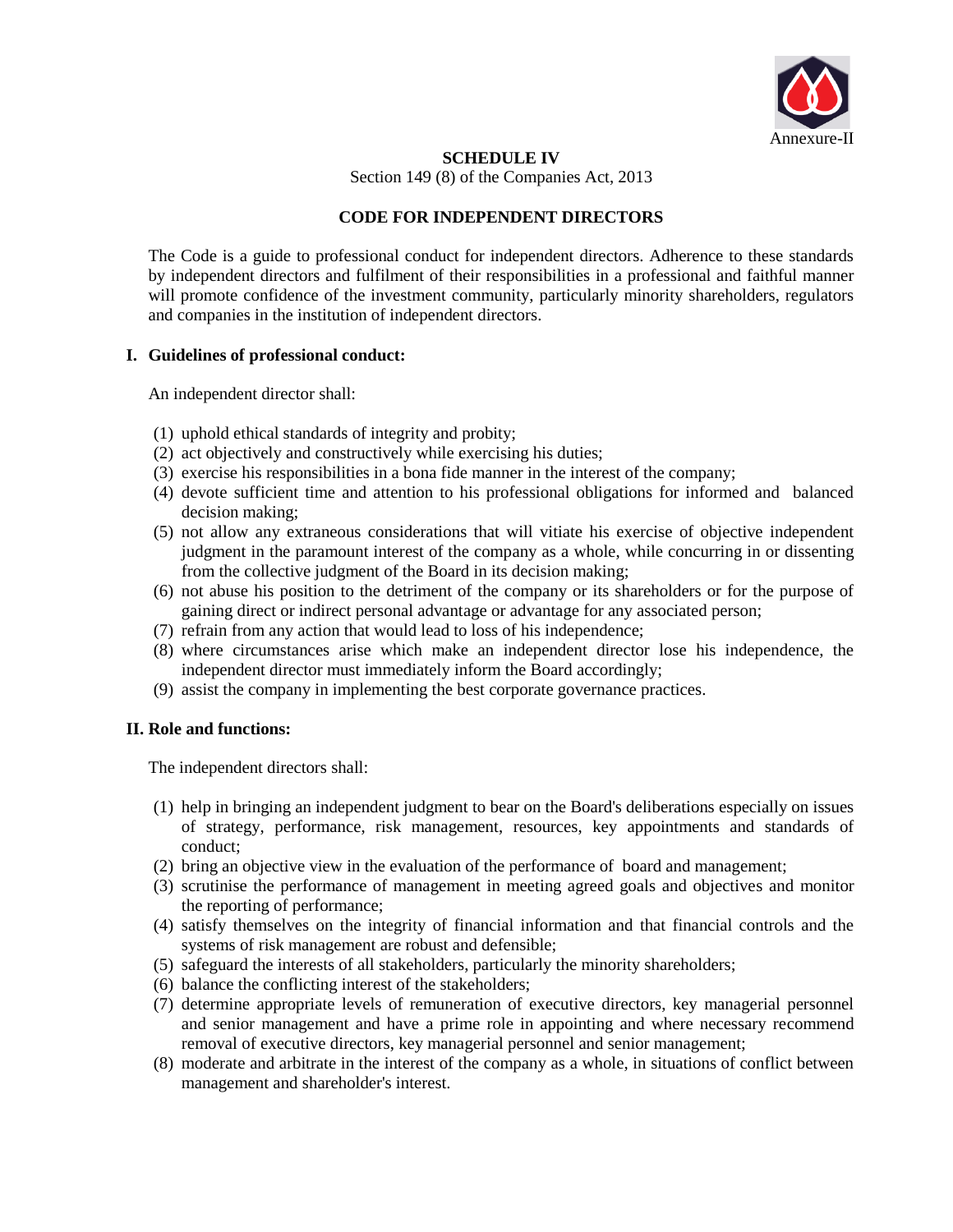

#### **SCHEDULE IV**

Section 149 (8) of the Companies Act, 2013

## **CODE FOR INDEPENDENT DIRECTORS**

The Code is a guide to professional conduct for independent directors. Adherence to these standards by independent directors and fulfilment of their responsibilities in a professional and faithful manner will promote confidence of the investment community, particularly minority shareholders, regulators and companies in the institution of independent directors.

## **I. Guidelines of professional conduct:**

An independent director shall:

- (1) uphold ethical standards of integrity and probity;
- (2) act objectively and constructively while exercising his duties;
- (3) exercise his responsibilities in a bona fide manner in the interest of the company;
- (4) devote sufficient time and attention to his professional obligations for informed and balanced decision making;
- (5) not allow any extraneous considerations that will vitiate his exercise of objective independent judgment in the paramount interest of the company as a whole, while concurring in or dissenting from the collective judgment of the Board in its decision making;
- (6) not abuse his position to the detriment of the company or its shareholders or for the purpose of gaining direct or indirect personal advantage or advantage for any associated person;
- (7) refrain from any action that would lead to loss of his independence;
- (8) where circumstances arise which make an independent director lose his independence, the independent director must immediately inform the Board accordingly;
- (9) assist the company in implementing the best corporate governance practices.

## **II. Role and functions:**

The independent directors shall:

- (1) help in bringing an independent judgment to bear on the Board's deliberations especially on issues of strategy, performance, risk management, resources, key appointments and standards of conduct;
- (2) bring an objective view in the evaluation of the performance of board and management;
- (3) scrutinise the performance of management in meeting agreed goals and objectives and monitor the reporting of performance;
- (4) satisfy themselves on the integrity of financial information and that financial controls and the systems of risk management are robust and defensible;
- (5) safeguard the interests of all stakeholders, particularly the minority shareholders;
- (6) balance the conflicting interest of the stakeholders;
- (7) determine appropriate levels of remuneration of executive directors, key managerial personnel and senior management and have a prime role in appointing and where necessary recommend removal of executive directors, key managerial personnel and senior management;
- (8) moderate and arbitrate in the interest of the company as a whole, in situations of conflict between management and shareholder's interest.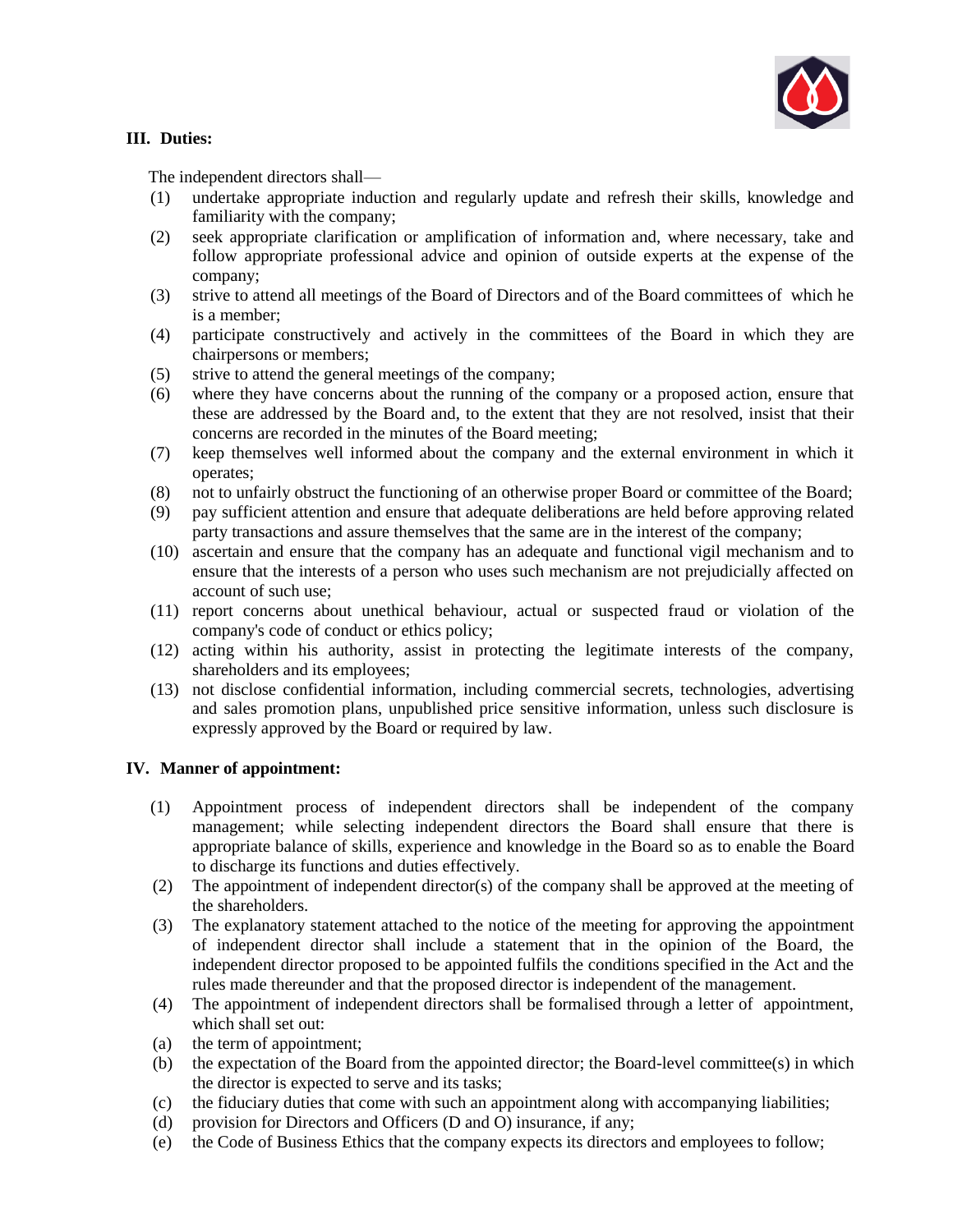

## **III. Duties:**

The independent directors shall—

- (1) undertake appropriate induction and regularly update and refresh their skills, knowledge and familiarity with the company;
- (2) seek appropriate clarification or amplification of information and, where necessary, take and follow appropriate professional advice and opinion of outside experts at the expense of the company;
- (3) strive to attend all meetings of the Board of Directors and of the Board committees of which he is a member;
- (4) participate constructively and actively in the committees of the Board in which they are chairpersons or members;
- (5) strive to attend the general meetings of the company;
- (6) where they have concerns about the running of the company or a proposed action, ensure that these are addressed by the Board and, to the extent that they are not resolved, insist that their concerns are recorded in the minutes of the Board meeting;
- (7) keep themselves well informed about the company and the external environment in which it operates;
- (8) not to unfairly obstruct the functioning of an otherwise proper Board or committee of the Board;
- (9) pay sufficient attention and ensure that adequate deliberations are held before approving related party transactions and assure themselves that the same are in the interest of the company;
- (10) ascertain and ensure that the company has an adequate and functional vigil mechanism and to ensure that the interests of a person who uses such mechanism are not prejudicially affected on account of such use;
- (11) report concerns about unethical behaviour, actual or suspected fraud or violation of the company's code of conduct or ethics policy;
- (12) acting within his authority, assist in protecting the legitimate interests of the company, shareholders and its employees;
- (13) not disclose confidential information, including commercial secrets, technologies, advertising and sales promotion plans, unpublished price sensitive information, unless such disclosure is expressly approved by the Board or required by law.

## **IV. Manner of appointment:**

- (1) Appointment process of independent directors shall be independent of the company management; while selecting independent directors the Board shall ensure that there is appropriate balance of skills, experience and knowledge in the Board so as to enable the Board to discharge its functions and duties effectively.
- (2) The appointment of independent director(s) of the company shall be approved at the meeting of the shareholders.
- (3) The explanatory statement attached to the notice of the meeting for approving the appointment of independent director shall include a statement that in the opinion of the Board, the independent director proposed to be appointed fulfils the conditions specified in the Act and the rules made thereunder and that the proposed director is independent of the management.
- (4) The appointment of independent directors shall be formalised through a letter of appointment, which shall set out:
- (a) the term of appointment;
- (b) the expectation of the Board from the appointed director; the Board-level committee(s) in which the director is expected to serve and its tasks;
- (c) the fiduciary duties that come with such an appointment along with accompanying liabilities;
- (d) provision for Directors and Officers (D and O) insurance, if any;
- (e) the Code of Business Ethics that the company expects its directors and employees to follow;